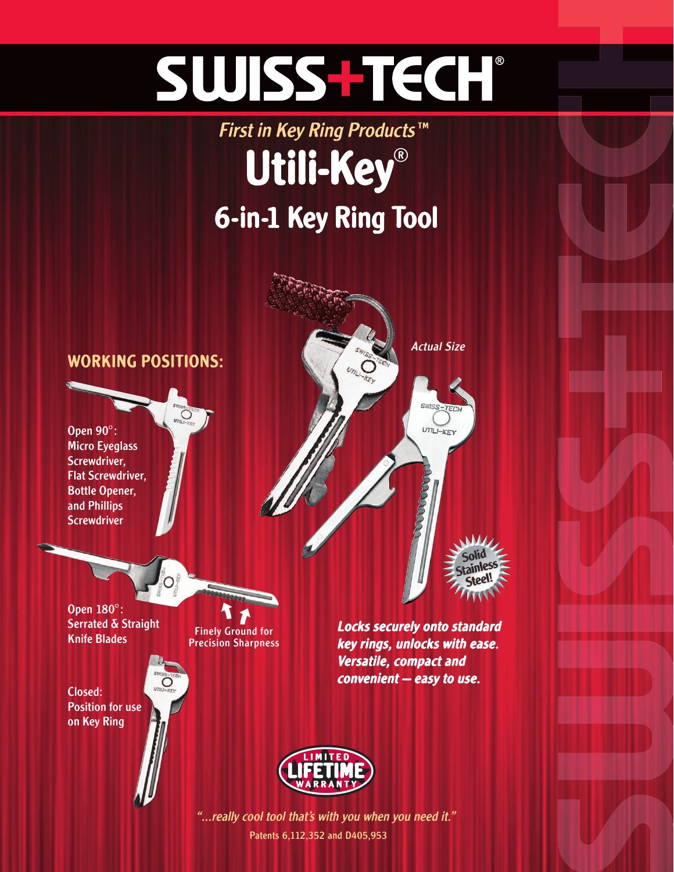# SWISS-TECH

### First in Key Ring Products™ Utili-Key ® 6-in-1 Key Ring Tool



Patents 6,112,352 and D405,953 "...really cool tool that's with you when you need it."